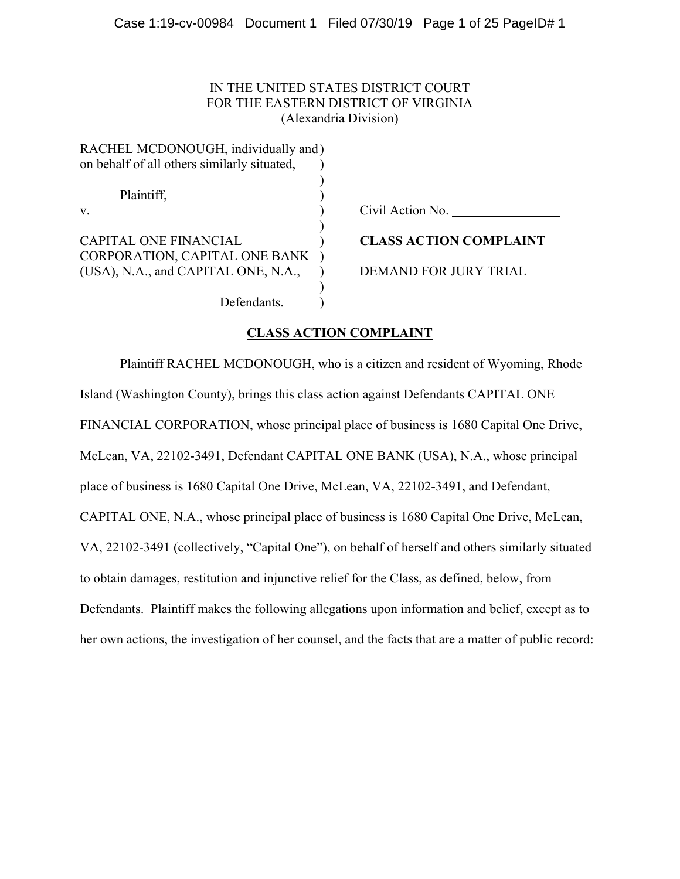## IN THE UNITED STATES DISTRICT COURT FOR THE EASTERN DISTRICT OF VIRGINIA (Alexandria Division)

| RACHEL MCDONOUGH, individually and)         |                               |
|---------------------------------------------|-------------------------------|
| on behalf of all others similarly situated, |                               |
| Plaintiff,                                  |                               |
|                                             |                               |
| V.                                          | Civil Action No.              |
| <b>CAPITAL ONE FINANCIAL</b>                | <b>CLASS ACTION COMPLAINT</b> |
| CORPORATION, CAPITAL ONE BANK               |                               |
| (USA), N.A., and CAPITAL ONE, N.A.,         | DEMAND FOR JURY TRIAL         |
|                                             |                               |
| Defendants.                                 |                               |

# **CLASS ACTION COMPLAINT**

Plaintiff RACHEL MCDONOUGH, who is a citizen and resident of Wyoming, Rhode Island (Washington County), brings this class action against Defendants CAPITAL ONE FINANCIAL CORPORATION, whose principal place of business is 1680 Capital One Drive, McLean, VA, 22102-3491, Defendant CAPITAL ONE BANK (USA), N.A., whose principal place of business is 1680 Capital One Drive, McLean, VA, 22102-3491, and Defendant, CAPITAL ONE, N.A., whose principal place of business is 1680 Capital One Drive, McLean, VA, 22102-3491 (collectively, "Capital One"), on behalf of herself and others similarly situated to obtain damages, restitution and injunctive relief for the Class, as defined, below, from Defendants. Plaintiff makes the following allegations upon information and belief, except as to her own actions, the investigation of her counsel, and the facts that are a matter of public record: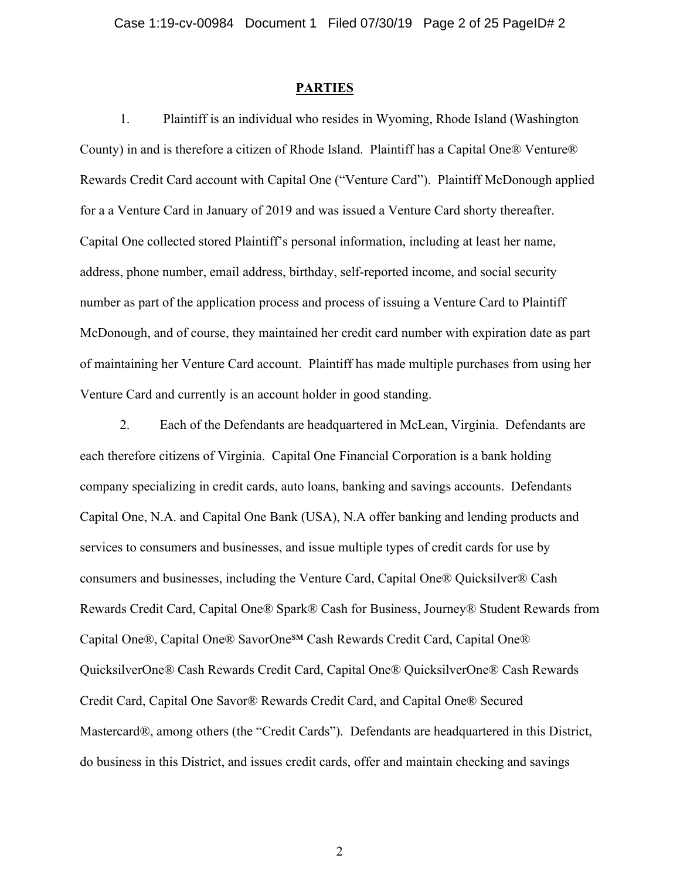#### **PARTIES**

1. Plaintiff is an individual who resides in Wyoming, Rhode Island (Washington County) in and is therefore a citizen of Rhode Island. Plaintiff has a Capital One® Venture® Rewards Credit Card account with Capital One ("Venture Card"). Plaintiff McDonough applied for a a Venture Card in January of 2019 and was issued a Venture Card shorty thereafter. Capital One collected stored Plaintiff's personal information, including at least her name, address, phone number, email address, birthday, self-reported income, and social security number as part of the application process and process of issuing a Venture Card to Plaintiff McDonough, and of course, they maintained her credit card number with expiration date as part of maintaining her Venture Card account. Plaintiff has made multiple purchases from using her Venture Card and currently is an account holder in good standing.

2. Each of the Defendants are headquartered in McLean, Virginia. Defendants are each therefore citizens of Virginia. Capital One Financial Corporation is a bank holding company specializing in credit cards, auto loans, banking and savings accounts. Defendants Capital One, N.A. and Capital One Bank (USA), N.A offer banking and lending products and services to consumers and businesses, and issue multiple types of credit cards for use by consumers and businesses, including the Venture Card, Capital One® Quicksilver® Cash Rewards Credit Card, Capital One® Spark® Cash for Business, Journey® Student Rewards from Capital One®, Capital One® SavorOneSM Cash Rewards Credit Card, Capital One® QuicksilverOne® Cash Rewards Credit Card, Capital One® QuicksilverOne® Cash Rewards Credit Card, Capital One Savor® Rewards Credit Card, and Capital One® Secured Mastercard®, among others (the "Credit Cards"). Defendants are headquartered in this District, do business in this District, and issues credit cards, offer and maintain checking and savings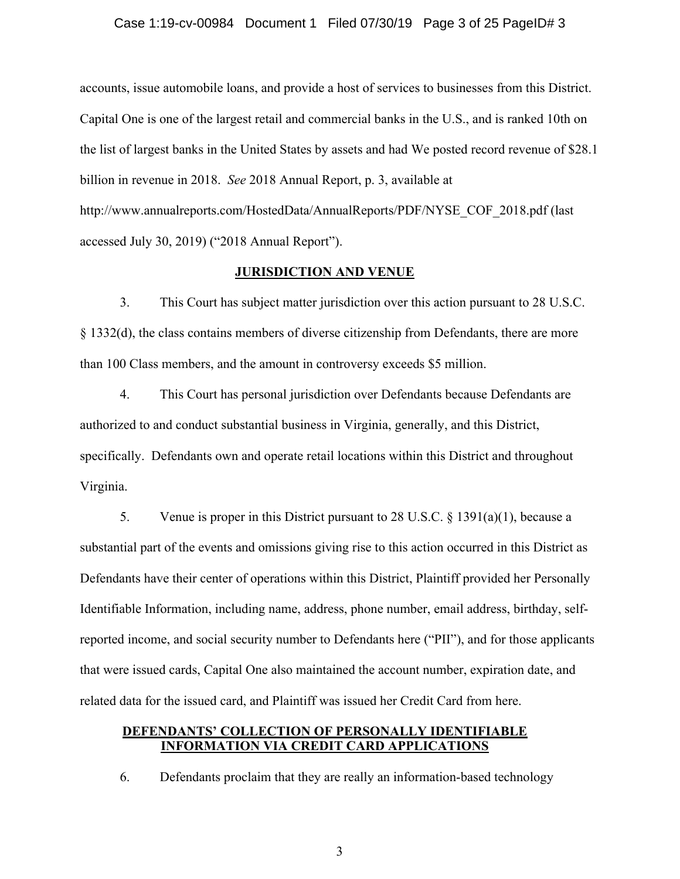#### Case 1:19-cv-00984 Document 1 Filed 07/30/19 Page 3 of 25 PageID# 3

accounts, issue automobile loans, and provide a host of services to businesses from this District. Capital One is one of the largest retail and commercial banks in the U.S., and is ranked 10th on the list of largest banks in the United States by assets and had We posted record revenue of \$28.1 billion in revenue in 2018. *See* 2018 Annual Report, p. 3, available at http://www.annualreports.com/HostedData/AnnualReports/PDF/NYSE\_COF\_2018.pdf (last accessed July 30, 2019) ("2018 Annual Report").

### **JURISDICTION AND VENUE**

3. This Court has subject matter jurisdiction over this action pursuant to 28 U.S.C. § 1332(d), the class contains members of diverse citizenship from Defendants, there are more than 100 Class members, and the amount in controversy exceeds \$5 million.

4. This Court has personal jurisdiction over Defendants because Defendants are authorized to and conduct substantial business in Virginia, generally, and this District, specifically. Defendants own and operate retail locations within this District and throughout Virginia.

5. Venue is proper in this District pursuant to 28 U.S.C. § 1391(a)(1), because a substantial part of the events and omissions giving rise to this action occurred in this District as Defendants have their center of operations within this District, Plaintiff provided her Personally Identifiable Information, including name, address, phone number, email address, birthday, selfreported income, and social security number to Defendants here ("PII"), and for those applicants that were issued cards, Capital One also maintained the account number, expiration date, and related data for the issued card, and Plaintiff was issued her Credit Card from here.

### **DEFENDANTS' COLLECTION OF PERSONALLY IDENTIFIABLE INFORMATION VIA CREDIT CARD APPLICATIONS**

6. Defendants proclaim that they are really an information-based technology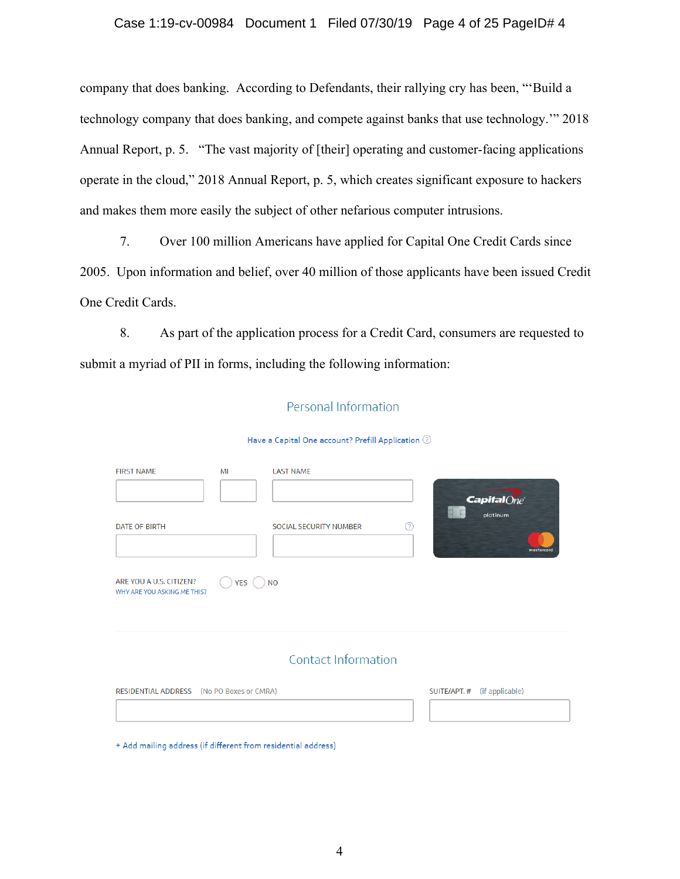### Case 1:19-cv-00984 Document 1 Filed 07/30/19 Page 4 of 25 PageID# 4

company that does banking. According to Defendants, their rallying cry has been, "'Build a technology company that does banking, and compete against banks that use technology.'" 2018 Annual Report, p. 5. "The vast majority of [their] operating and customer-facing applications operate in the cloud," 2018 Annual Report, p. 5, which creates significant exposure to hackers and makes them more easily the subject of other nefarious computer intrusions.

7. Over 100 million Americans have applied for Capital One Credit Cards since 2005. Upon information and belief, over 40 million of those applicants have been issued Credit One Credit Cards.

8. As part of the application process for a Credit Card, consumers are requested to submit a myriad of PII in forms, including the following information:

### Personal Information

#### Have a Capital One account? Prefill Application ②

| <b>FIRST NAME</b>                                             | MI    | <b>LAST NAME</b>                   | <b>Capital</b> One<br>platinum |
|---------------------------------------------------------------|-------|------------------------------------|--------------------------------|
| <b>DATE OF BIRTH</b>                                          |       | ⊚<br><b>SOCIAL SECURITY NUMBER</b> | mastercard                     |
| ARE YOU A U.S. CITIZEN?<br>WHY ARE YOU ASKING ME THIS?        | YES ( | <b>NO</b>                          |                                |
|                                                               |       | Contact Information                |                                |
| RESIDENTIAL ADDRESS (No PO Boxes or CMRA)                     |       |                                    | SUITE/APT. # (if applicable)   |
| + Add mailing address (if different from residential address) |       |                                    |                                |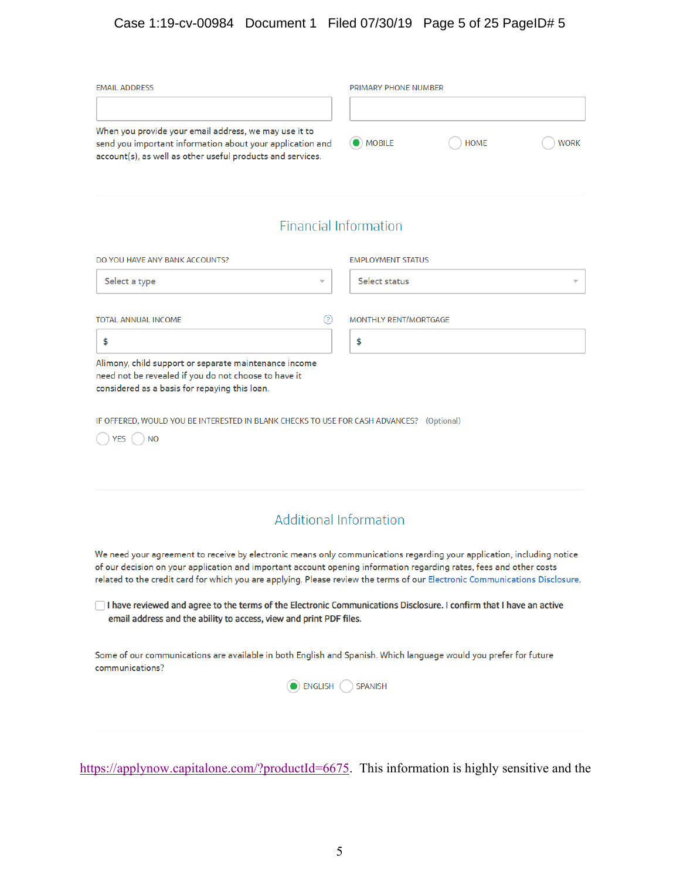# Case 1:19-cv-00984 Document 1 Filed 07/30/19 Page 5 of 25 PageID# 5

| <b>EMAIL ADDRESS</b>                                                                                                                                                             | PRIMARY PHONE NUMBER |             |             |
|----------------------------------------------------------------------------------------------------------------------------------------------------------------------------------|----------------------|-------------|-------------|
| When you provide your email address, we may use it to<br>send you important information about your application and<br>account(s), as well as other useful products and services. | $\bigcirc$ MOBILE    | <b>HOME</b> | <b>WORK</b> |

# **Financial Information**

| DO YOU HAVE ANY BANK ACCOUNTS?                                                                                                                                 | <b>EMPLOYMENT STATUS</b> |  |  |  |
|----------------------------------------------------------------------------------------------------------------------------------------------------------------|--------------------------|--|--|--|
| Select a type<br>$\overline{\phantom{a}}$                                                                                                                      | Select status            |  |  |  |
| <b>TOTAL ANNUAL INCOME</b><br>(?)                                                                                                                              | MONTHLY RENT/MORTGAGE    |  |  |  |
|                                                                                                                                                                | \$                       |  |  |  |
| Alimony, child support or separate maintenance income<br>need not be revealed if you do not choose to have it<br>considered as a basis for repaying this loan. |                          |  |  |  |

IF OFFERED, WOULD YOU BE INTERESTED IN BLANK CHECKS TO USE FOR CASH ADVANCES? (Optional)

 $\bigcirc$  YES  $\bigcirc$  NO

# **Additional Information**

We need your agreement to receive by electronic means only communications regarding your application, including notice of our decision on your application and important account opening information regarding rates, fees and other costs related to the credit card for which you are applying. Please review the terms of our Electronic Communications Disclosure.

I have reviewed and agree to the terms of the Electronic Communications Disclosure. I confirm that I have an active email address and the ability to access, view and print PDF files.

Some of our communications are available in both English and Spanish. Which language would you prefer for future communications?



https://applynow.capitalone.com/?productId=6675. This information is highly sensitive and the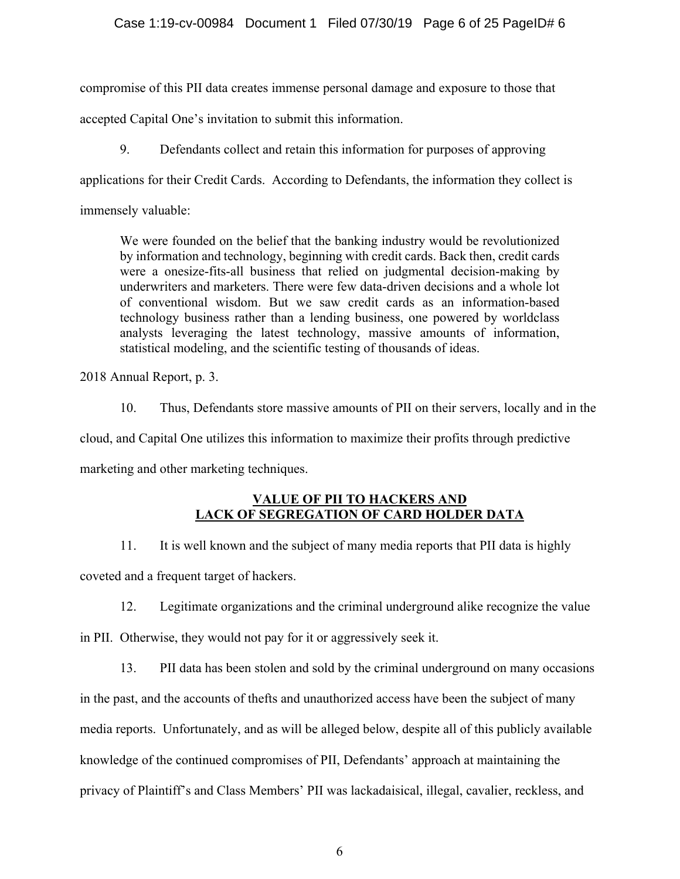### Case 1:19-cv-00984 Document 1 Filed 07/30/19 Page 6 of 25 PageID# 6

compromise of this PII data creates immense personal damage and exposure to those that

accepted Capital One's invitation to submit this information.

9. Defendants collect and retain this information for purposes of approving

applications for their Credit Cards. According to Defendants, the information they collect is

immensely valuable:

We were founded on the belief that the banking industry would be revolutionized by information and technology, beginning with credit cards. Back then, credit cards were a onesize-fits-all business that relied on judgmental decision-making by underwriters and marketers. There were few data-driven decisions and a whole lot of conventional wisdom. But we saw credit cards as an information-based technology business rather than a lending business, one powered by worldclass analysts leveraging the latest technology, massive amounts of information, statistical modeling, and the scientific testing of thousands of ideas.

2018 Annual Report, p. 3.

10. Thus, Defendants store massive amounts of PII on their servers, locally and in the cloud, and Capital One utilizes this information to maximize their profits through predictive marketing and other marketing techniques.

### **VALUE OF PII TO HACKERS AND LACK OF SEGREGATION OF CARD HOLDER DATA**

11. It is well known and the subject of many media reports that PII data is highly coveted and a frequent target of hackers.

12. Legitimate organizations and the criminal underground alike recognize the value

in PII. Otherwise, they would not pay for it or aggressively seek it.

13. PII data has been stolen and sold by the criminal underground on many occasions in the past, and the accounts of thefts and unauthorized access have been the subject of many media reports. Unfortunately, and as will be alleged below, despite all of this publicly available knowledge of the continued compromises of PII, Defendants' approach at maintaining the privacy of Plaintiff's and Class Members' PII was lackadaisical, illegal, cavalier, reckless, and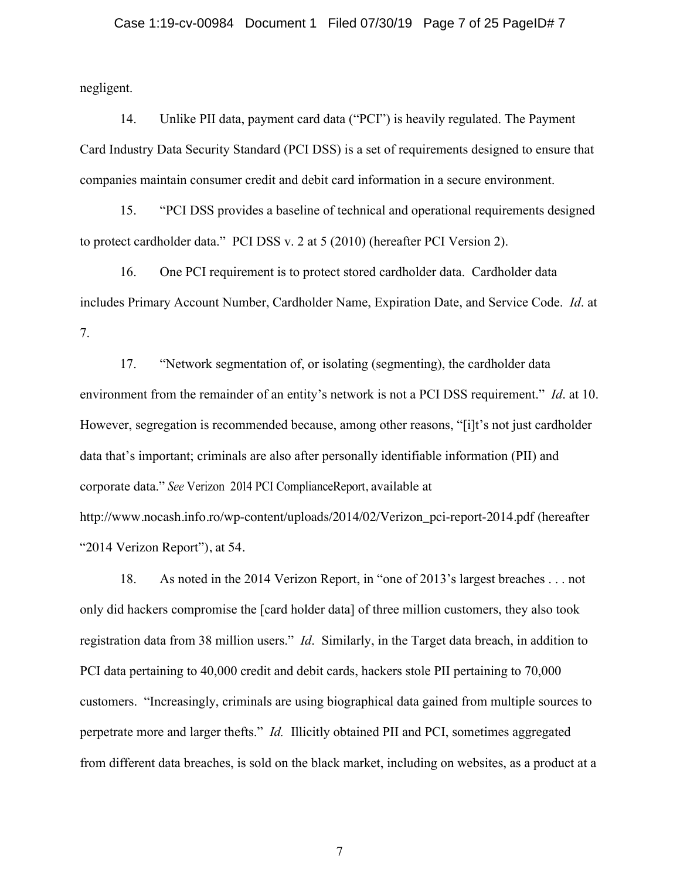### Case 1:19-cv-00984 Document 1 Filed 07/30/19 Page 7 of 25 PageID# 7

negligent.

14. Unlike PII data, payment card data ("PCI") is heavily regulated. The Payment Card Industry Data Security Standard (PCI DSS) is a set of requirements designed to ensure that companies maintain consumer credit and debit card information in a secure environment.

15. "PCI DSS provides a baseline of technical and operational requirements designed to protect cardholder data." PCI DSS v. 2 at 5 (2010) (hereafter PCI Version 2).

16. One PCI requirement is to protect stored cardholder data. Cardholder data includes Primary Account Number, Cardholder Name, Expiration Date, and Service Code. *Id*. at 7.

17. "Network segmentation of, or isolating (segmenting), the cardholder data environment from the remainder of an entity's network is not a PCI DSS requirement." *Id*. at 10. However, segregation is recommended because, among other reasons, "[i]t's not just cardholder data that's important; criminals are also after personally identifiable information (PII) and corporate data." *See* Verizon 2014 PCI ComplianceReport, available at http://www.nocash.info.ro/wp-content/uploads/2014/02/Verizon\_pci-report-2014.pdf (hereafter "2014 Verizon Report"), at 54.

18. As noted in the 2014 Verizon Report, in "one of 2013's largest breaches . . . not only did hackers compromise the [card holder data] of three million customers, they also took registration data from 38 million users." *Id*. Similarly, in the Target data breach, in addition to PCI data pertaining to 40,000 credit and debit cards, hackers stole PII pertaining to 70,000 customers. "Increasingly, criminals are using biographical data gained from multiple sources to perpetrate more and larger thefts." *Id.* Illicitly obtained PII and PCI, sometimes aggregated from different data breaches, is sold on the black market, including on websites, as a product at a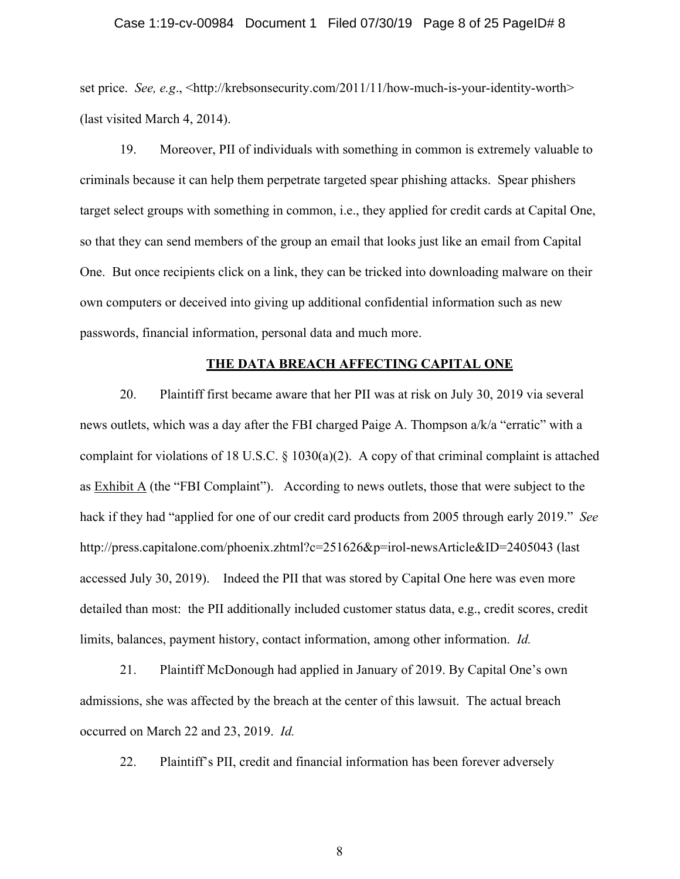#### Case 1:19-cv-00984 Document 1 Filed 07/30/19 Page 8 of 25 PageID# 8

set price. *See, e.g.*, <http://krebsonsecurity.com/2011/11/how-much-is-your-identity-worth> (last visited March 4, 2014).

19. Moreover, PII of individuals with something in common is extremely valuable to criminals because it can help them perpetrate targeted spear phishing attacks. Spear phishers target select groups with something in common, i.e., they applied for credit cards at Capital One, so that they can send members of the group an email that looks just like an email from Capital One. But once recipients click on a link, they can be tricked into downloading malware on their own computers or deceived into giving up additional confidential information such as new passwords, financial information, personal data and much more.

#### **THE DATA BREACH AFFECTING CAPITAL ONE**

20. Plaintiff first became aware that her PII was at risk on July 30, 2019 via several news outlets, which was a day after the FBI charged Paige A. Thompson a/k/a "erratic" with a complaint for violations of 18 U.S.C. § 1030(a)(2). A copy of that criminal complaint is attached as Exhibit A (the "FBI Complaint"). According to news outlets, those that were subject to the hack if they had "applied for one of our credit card products from 2005 through early 2019." *See*  http://press.capitalone.com/phoenix.zhtml?c=251626&p=irol-newsArticle&ID=2405043 (last accessed July 30, 2019). Indeed the PII that was stored by Capital One here was even more detailed than most: the PII additionally included customer status data, e.g., credit scores, credit limits, balances, payment history, contact information, among other information. *Id.*

21. Plaintiff McDonough had applied in January of 2019. By Capital One's own admissions, she was affected by the breach at the center of this lawsuit. The actual breach occurred on March 22 and 23, 2019. *Id.*

22. Plaintiff's PII, credit and financial information has been forever adversely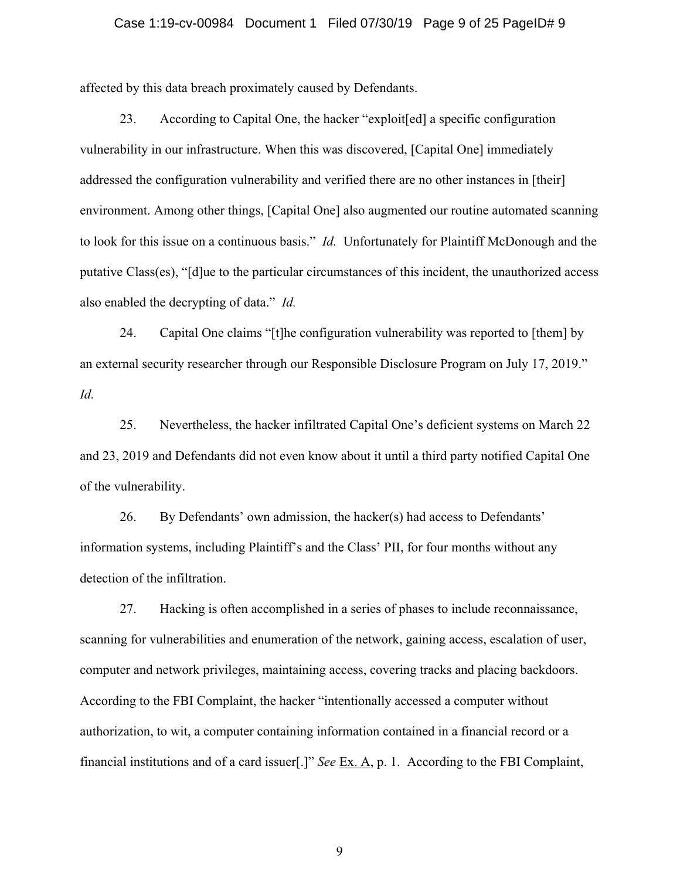#### Case 1:19-cv-00984 Document 1 Filed 07/30/19 Page 9 of 25 PageID# 9

affected by this data breach proximately caused by Defendants.

23. According to Capital One, the hacker "exploit[ed] a specific configuration vulnerability in our infrastructure. When this was discovered, [Capital One] immediately addressed the configuration vulnerability and verified there are no other instances in [their] environment. Among other things, [Capital One] also augmented our routine automated scanning to look for this issue on a continuous basis." *Id.* Unfortunately for Plaintiff McDonough and the putative Class(es), "[d]ue to the particular circumstances of this incident, the unauthorized access also enabled the decrypting of data." *Id.*

24. Capital One claims "[t]he configuration vulnerability was reported to [them] by an external security researcher through our Responsible Disclosure Program on July 17, 2019." *Id.*

25. Nevertheless, the hacker infiltrated Capital One's deficient systems on March 22 and 23, 2019 and Defendants did not even know about it until a third party notified Capital One of the vulnerability.

26. By Defendants' own admission, the hacker(s) had access to Defendants' information systems, including Plaintiff's and the Class' PII, for four months without any detection of the infiltration.

27. Hacking is often accomplished in a series of phases to include reconnaissance, scanning for vulnerabilities and enumeration of the network, gaining access, escalation of user, computer and network privileges, maintaining access, covering tracks and placing backdoors. According to the FBI Complaint, the hacker "intentionally accessed a computer without authorization, to wit, a computer containing information contained in a financial record or a financial institutions and of a card issuer[.]" *See* Ex. A, p. 1. According to the FBI Complaint,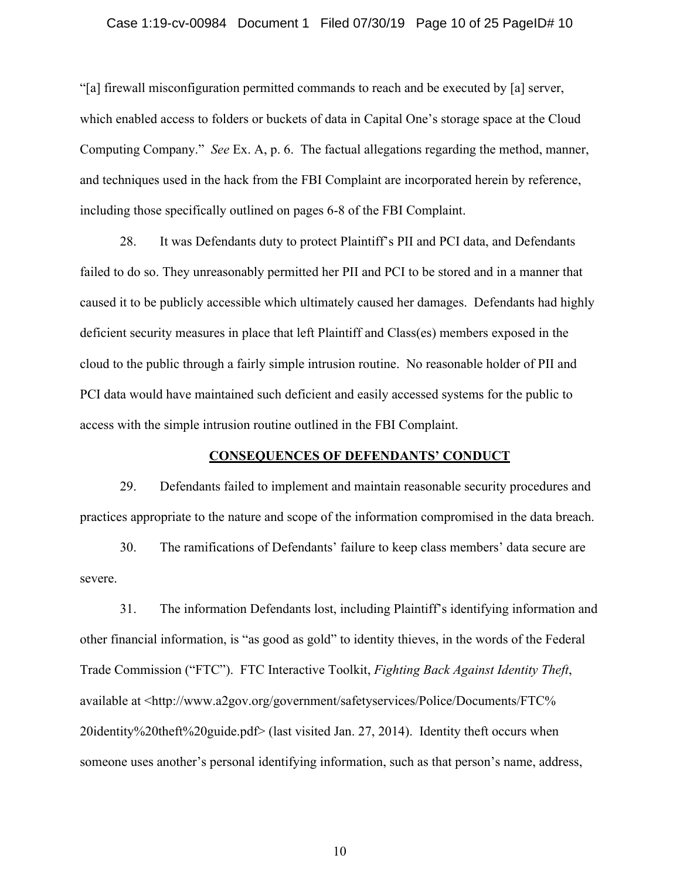### Case 1:19-cv-00984 Document 1 Filed 07/30/19 Page 10 of 25 PageID# 10

"[a] firewall misconfiguration permitted commands to reach and be executed by [a] server, which enabled access to folders or buckets of data in Capital One's storage space at the Cloud Computing Company." *See* Ex. A, p. 6. The factual allegations regarding the method, manner, and techniques used in the hack from the FBI Complaint are incorporated herein by reference, including those specifically outlined on pages 6-8 of the FBI Complaint.

28. It was Defendants duty to protect Plaintiff's PII and PCI data, and Defendants failed to do so. They unreasonably permitted her PII and PCI to be stored and in a manner that caused it to be publicly accessible which ultimately caused her damages. Defendants had highly deficient security measures in place that left Plaintiff and Class(es) members exposed in the cloud to the public through a fairly simple intrusion routine. No reasonable holder of PII and PCI data would have maintained such deficient and easily accessed systems for the public to access with the simple intrusion routine outlined in the FBI Complaint.

#### **CONSEQUENCES OF DEFENDANTS' CONDUCT**

29. Defendants failed to implement and maintain reasonable security procedures and practices appropriate to the nature and scope of the information compromised in the data breach.

30. The ramifications of Defendants' failure to keep class members' data secure are severe.

31. The information Defendants lost, including Plaintiff's identifying information and other financial information, is "as good as gold" to identity thieves, in the words of the Federal Trade Commission ("FTC"). FTC Interactive Toolkit, *Fighting Back Against Identity Theft*, available at <http://www.a2gov.org/government/safetyservices/Police/Documents/FTC% 20identity%20theft%20guide.pdf> (last visited Jan. 27, 2014). Identity theft occurs when someone uses another's personal identifying information, such as that person's name, address,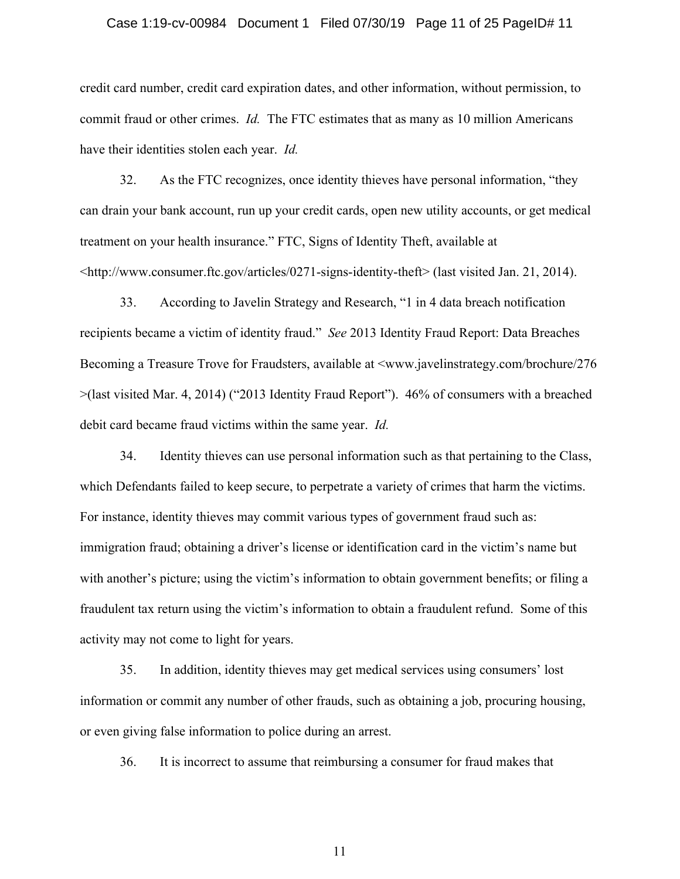#### Case 1:19-cv-00984 Document 1 Filed 07/30/19 Page 11 of 25 PageID# 11

credit card number, credit card expiration dates, and other information, without permission, to commit fraud or other crimes. *Id.* The FTC estimates that as many as 10 million Americans have their identities stolen each year. *Id.*

32. As the FTC recognizes, once identity thieves have personal information, "they can drain your bank account, run up your credit cards, open new utility accounts, or get medical treatment on your health insurance." FTC, Signs of Identity Theft, available at  $\lt$ http://www.consumer.ftc.gov/articles/0271-signs-identity-theft> (last visited Jan. 21, 2014).

33. According to Javelin Strategy and Research, "1 in 4 data breach notification recipients became a victim of identity fraud." *See* 2013 Identity Fraud Report: Data Breaches Becoming a Treasure Trove for Fraudsters, available at <www.javelinstrategy.com/brochure/276 >(last visited Mar. 4, 2014) ("2013 Identity Fraud Report"). 46% of consumers with a breached debit card became fraud victims within the same year. *Id.*

34. Identity thieves can use personal information such as that pertaining to the Class, which Defendants failed to keep secure, to perpetrate a variety of crimes that harm the victims. For instance, identity thieves may commit various types of government fraud such as: immigration fraud; obtaining a driver's license or identification card in the victim's name but with another's picture; using the victim's information to obtain government benefits; or filing a fraudulent tax return using the victim's information to obtain a fraudulent refund. Some of this activity may not come to light for years.

35. In addition, identity thieves may get medical services using consumers' lost information or commit any number of other frauds, such as obtaining a job, procuring housing, or even giving false information to police during an arrest.

36. It is incorrect to assume that reimbursing a consumer for fraud makes that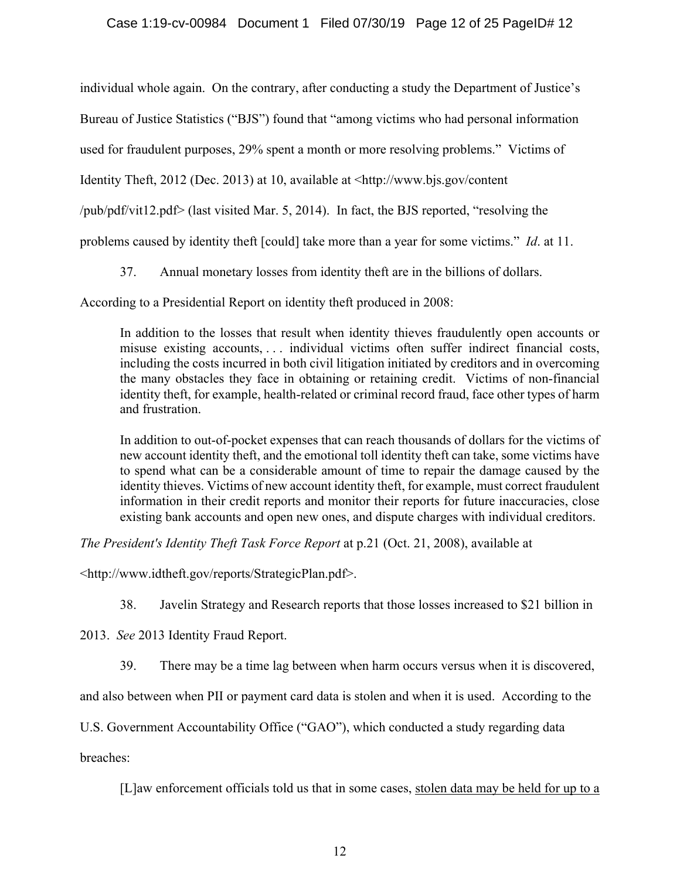individual whole again. On the contrary, after conducting a study the Department of Justice's Bureau of Justice Statistics ("BJS") found that "among victims who had personal information used for fraudulent purposes, 29% spent a month or more resolving problems." Victims of Identity Theft, 2012 (Dec. 2013) at 10, available at <http://www.bjs.gov/content /pub/pdf/vit12.pdf> (last visited Mar. 5, 2014). In fact, the BJS reported, "resolving the problems caused by identity theft [could] take more than a year for some victims." *Id*. at 11.

37. Annual monetary losses from identity theft are in the billions of dollars.

According to a Presidential Report on identity theft produced in 2008:

In addition to the losses that result when identity thieves fraudulently open accounts or misuse existing accounts, . . . individual victims often suffer indirect financial costs, including the costs incurred in both civil litigation initiated by creditors and in overcoming the many obstacles they face in obtaining or retaining credit. Victims of non-financial identity theft, for example, health-related or criminal record fraud, face other types of harm and frustration.

In addition to out-of-pocket expenses that can reach thousands of dollars for the victims of new account identity theft, and the emotional toll identity theft can take, some victims have to spend what can be a considerable amount of time to repair the damage caused by the identity thieves. Victims of new account identity theft, for example, must correct fraudulent information in their credit reports and monitor their reports for future inaccuracies, close existing bank accounts and open new ones, and dispute charges with individual creditors.

*The President's Identity Theft Task Force Report* at p.21 (Oct. 21, 2008), available at

<http://www.idtheft.gov/reports/StrategicPlan.pdf>.

38. Javelin Strategy and Research reports that those losses increased to \$21 billion in

2013. *See* 2013 Identity Fraud Report.

39. There may be a time lag between when harm occurs versus when it is discovered,

and also between when PII or payment card data is stolen and when it is used. According to the

U.S. Government Accountability Office ("GAO"), which conducted a study regarding data

breaches:

[L]aw enforcement officials told us that in some cases, stolen data may be held for up to a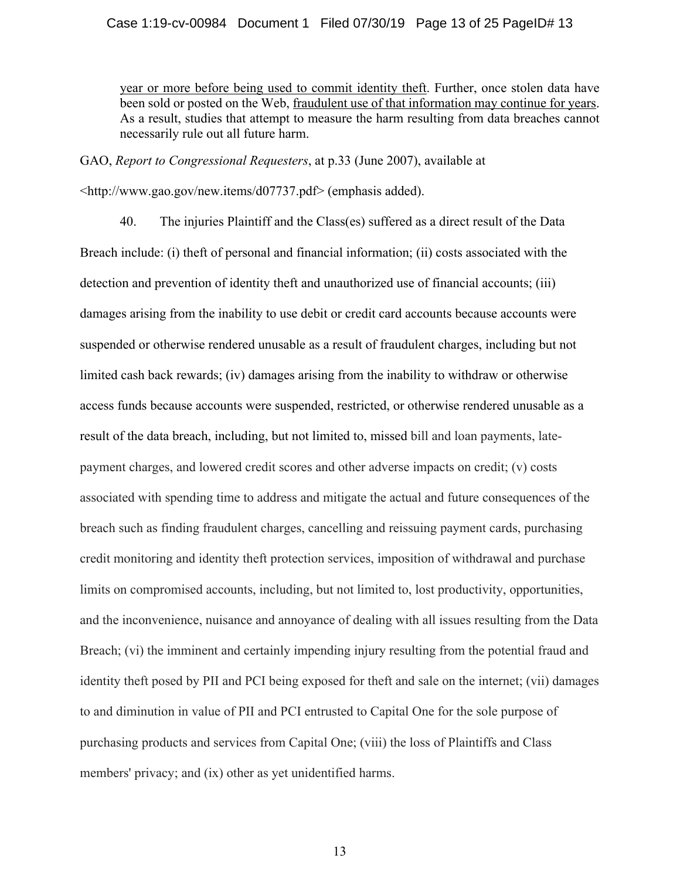year or more before being used to commit identity theft. Further, once stolen data have been sold or posted on the Web, fraudulent use of that information may continue for years. As a result, studies that attempt to measure the harm resulting from data breaches cannot necessarily rule out all future harm.

GAO, *Report to Congressional Requesters*, at p.33 (June 2007), available at

<http://www.gao.gov/new.items/d07737.pdf> (emphasis added).

40. The injuries Plaintiff and the Class(es) suffered as a direct result of the Data Breach include: (i) theft of personal and financial information; (ii) costs associated with the detection and prevention of identity theft and unauthorized use of financial accounts; (iii) damages arising from the inability to use debit or credit card accounts because accounts were suspended or otherwise rendered unusable as a result of fraudulent charges, including but not limited cash back rewards; (iv) damages arising from the inability to withdraw or otherwise access funds because accounts were suspended, restricted, or otherwise rendered unusable as a result of the data breach, including, but not limited to, missed bill and loan payments, latepayment charges, and lowered credit scores and other adverse impacts on credit; (v) costs associated with spending time to address and mitigate the actual and future consequences of the breach such as finding fraudulent charges, cancelling and reissuing payment cards, purchasing credit monitoring and identity theft protection services, imposition of withdrawal and purchase limits on compromised accounts, including, but not limited to, lost productivity, opportunities, and the inconvenience, nuisance and annoyance of dealing with all issues resulting from the Data Breach; (vi) the imminent and certainly impending injury resulting from the potential fraud and identity theft posed by PII and PCI being exposed for theft and sale on the internet; (vii) damages to and diminution in value of PII and PCI entrusted to Capital One for the sole purpose of purchasing products and services from Capital One; (viii) the loss of Plaintiffs and Class members' privacy; and (ix) other as yet unidentified harms.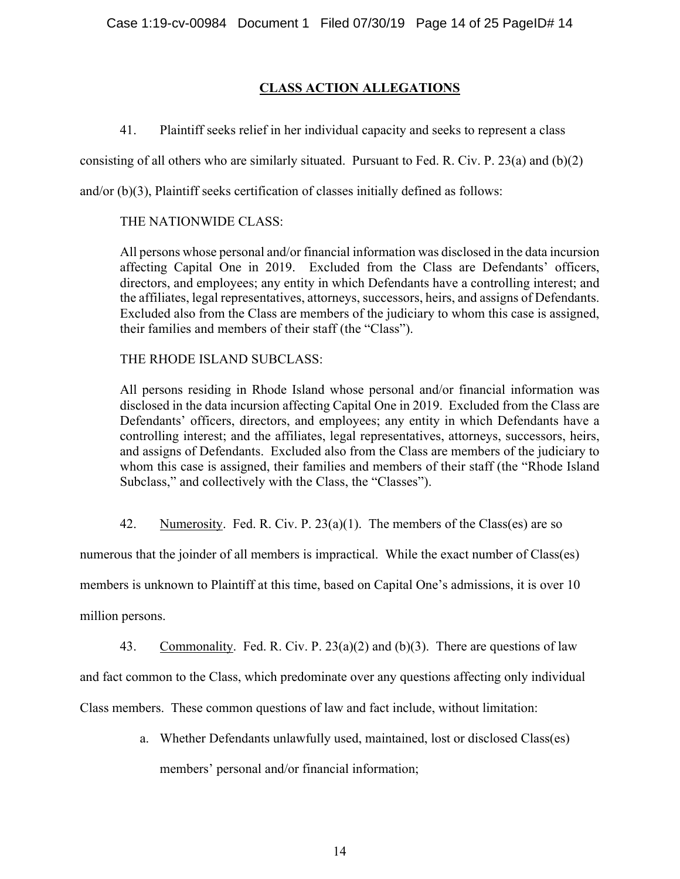# **CLASS ACTION ALLEGATIONS**

41. Plaintiff seeks relief in her individual capacity and seeks to represent a class

consisting of all others who are similarly situated. Pursuant to Fed. R. Civ. P. 23(a) and  $(b)(2)$ 

and/or (b)(3), Plaintiff seeks certification of classes initially defined as follows:

# THE NATIONWIDE CLASS:

All persons whose personal and/or financial information was disclosed in the data incursion affecting Capital One in 2019. Excluded from the Class are Defendants' officers, directors, and employees; any entity in which Defendants have a controlling interest; and the affiliates, legal representatives, attorneys, successors, heirs, and assigns of Defendants. Excluded also from the Class are members of the judiciary to whom this case is assigned, their families and members of their staff (the "Class").

THE RHODE ISLAND SUBCLASS:

All persons residing in Rhode Island whose personal and/or financial information was disclosed in the data incursion affecting Capital One in 2019. Excluded from the Class are Defendants' officers, directors, and employees; any entity in which Defendants have a controlling interest; and the affiliates, legal representatives, attorneys, successors, heirs, and assigns of Defendants. Excluded also from the Class are members of the judiciary to whom this case is assigned, their families and members of their staff (the "Rhode Island Subclass," and collectively with the Class, the "Classes").

42. Numerosity. Fed. R. Civ. P.  $23(a)(1)$ . The members of the Class(es) are so

numerous that the joinder of all members is impractical. While the exact number of Class(es)

members is unknown to Plaintiff at this time, based on Capital One's admissions, it is over 10

million persons.

43. Commonality. Fed. R. Civ. P.  $23(a)(2)$  and (b)(3). There are questions of law and fact common to the Class, which predominate over any questions affecting only individual Class members. These common questions of law and fact include, without limitation:

> a. Whether Defendants unlawfully used, maintained, lost or disclosed Class(es) members' personal and/or financial information;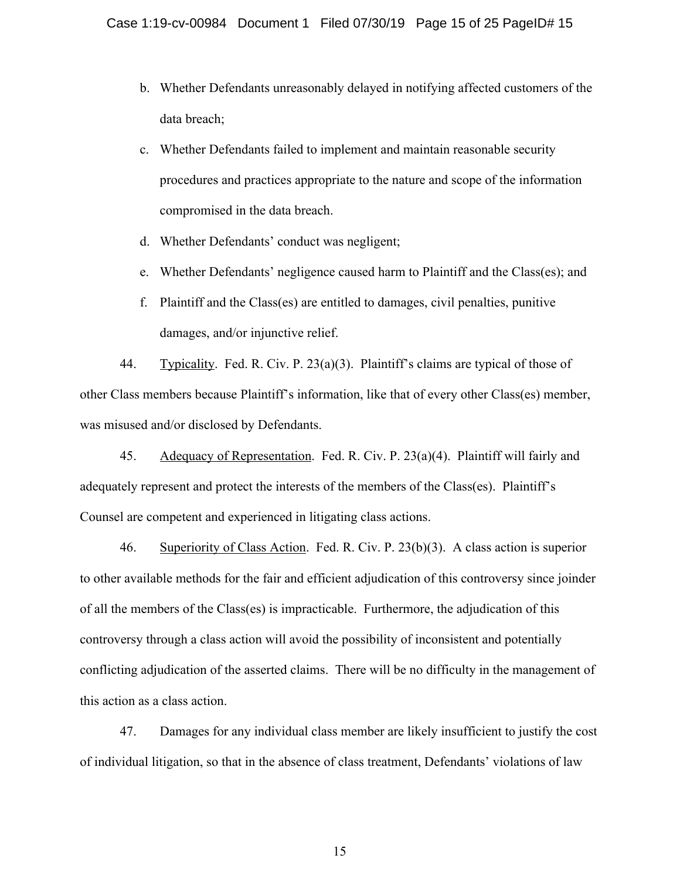- b. Whether Defendants unreasonably delayed in notifying affected customers of the data breach;
- c. Whether Defendants failed to implement and maintain reasonable security procedures and practices appropriate to the nature and scope of the information compromised in the data breach.
- d. Whether Defendants' conduct was negligent;
- e. Whether Defendants' negligence caused harm to Plaintiff and the Class(es); and
- f. Plaintiff and the Class(es) are entitled to damages, civil penalties, punitive damages, and/or injunctive relief.

44. Typicality. Fed. R. Civ. P. 23(a)(3). Plaintiff's claims are typical of those of other Class members because Plaintiff's information, like that of every other Class(es) member, was misused and/or disclosed by Defendants.

45. Adequacy of Representation. Fed. R. Civ. P. 23(a)(4). Plaintiff will fairly and adequately represent and protect the interests of the members of the Class(es). Plaintiff's Counsel are competent and experienced in litigating class actions.

46. Superiority of Class Action. Fed. R. Civ. P. 23(b)(3). A class action is superior to other available methods for the fair and efficient adjudication of this controversy since joinder of all the members of the Class(es) is impracticable. Furthermore, the adjudication of this controversy through a class action will avoid the possibility of inconsistent and potentially conflicting adjudication of the asserted claims. There will be no difficulty in the management of this action as a class action.

47. Damages for any individual class member are likely insufficient to justify the cost of individual litigation, so that in the absence of class treatment, Defendants' violations of law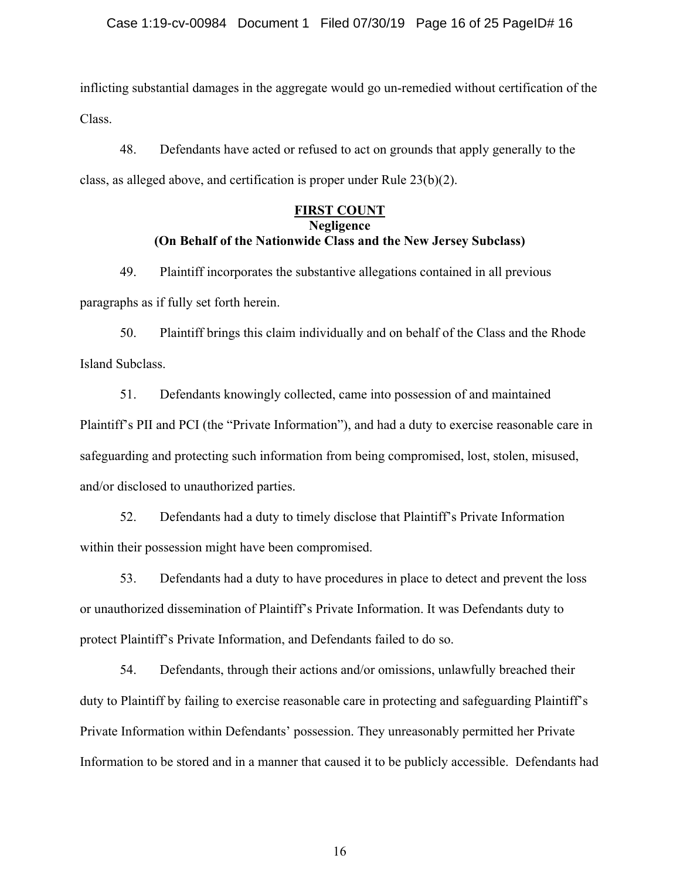inflicting substantial damages in the aggregate would go un-remedied without certification of the Class.

48. Defendants have acted or refused to act on grounds that apply generally to the class, as alleged above, and certification is proper under Rule 23(b)(2).

# **FIRST COUNT Negligence (On Behalf of the Nationwide Class and the New Jersey Subclass)**

49. Plaintiff incorporates the substantive allegations contained in all previous paragraphs as if fully set forth herein.

50. Plaintiff brings this claim individually and on behalf of the Class and the Rhode Island Subclass.

51. Defendants knowingly collected, came into possession of and maintained Plaintiff's PII and PCI (the "Private Information"), and had a duty to exercise reasonable care in safeguarding and protecting such information from being compromised, lost, stolen, misused, and/or disclosed to unauthorized parties.

52. Defendants had a duty to timely disclose that Plaintiff's Private Information within their possession might have been compromised.

53. Defendants had a duty to have procedures in place to detect and prevent the loss or unauthorized dissemination of Plaintiff's Private Information. It was Defendants duty to protect Plaintiff's Private Information, and Defendants failed to do so.

54. Defendants, through their actions and/or omissions, unlawfully breached their duty to Plaintiff by failing to exercise reasonable care in protecting and safeguarding Plaintiff's Private Information within Defendants' possession. They unreasonably permitted her Private Information to be stored and in a manner that caused it to be publicly accessible. Defendants had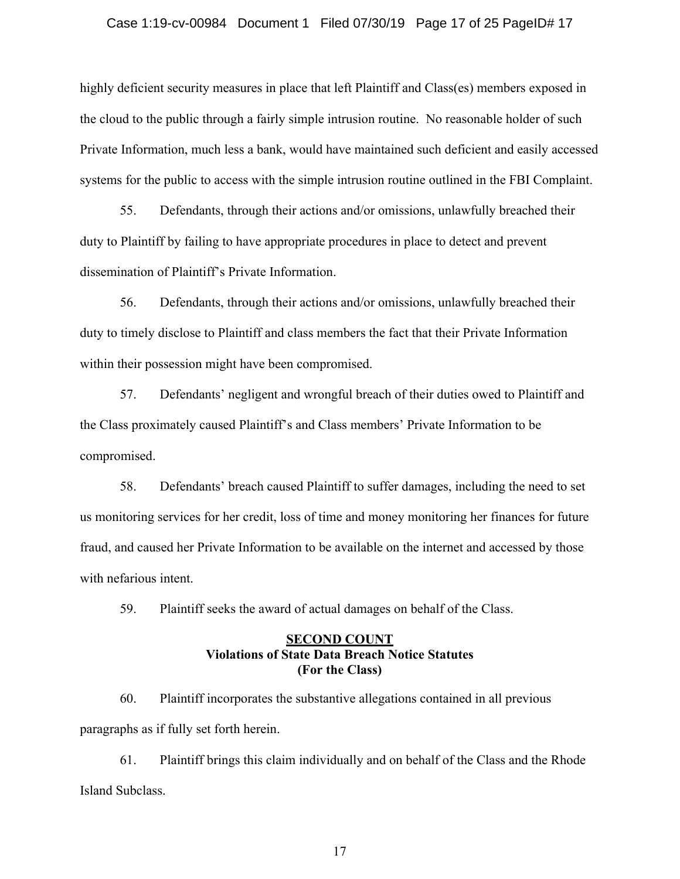#### Case 1:19-cv-00984 Document 1 Filed 07/30/19 Page 17 of 25 PageID# 17

highly deficient security measures in place that left Plaintiff and Class(es) members exposed in the cloud to the public through a fairly simple intrusion routine. No reasonable holder of such Private Information, much less a bank, would have maintained such deficient and easily accessed systems for the public to access with the simple intrusion routine outlined in the FBI Complaint.

55. Defendants, through their actions and/or omissions, unlawfully breached their duty to Plaintiff by failing to have appropriate procedures in place to detect and prevent dissemination of Plaintiff's Private Information.

56. Defendants, through their actions and/or omissions, unlawfully breached their duty to timely disclose to Plaintiff and class members the fact that their Private Information within their possession might have been compromised.

57. Defendants' negligent and wrongful breach of their duties owed to Plaintiff and the Class proximately caused Plaintiff's and Class members' Private Information to be compromised.

58. Defendants' breach caused Plaintiff to suffer damages, including the need to set us monitoring services for her credit, loss of time and money monitoring her finances for future fraud, and caused her Private Information to be available on the internet and accessed by those with nefarious intent.

59. Plaintiff seeks the award of actual damages on behalf of the Class.

## **SECOND COUNT Violations of State Data Breach Notice Statutes (For the Class)**

60. Plaintiff incorporates the substantive allegations contained in all previous paragraphs as if fully set forth herein.

61. Plaintiff brings this claim individually and on behalf of the Class and the Rhode Island Subclass.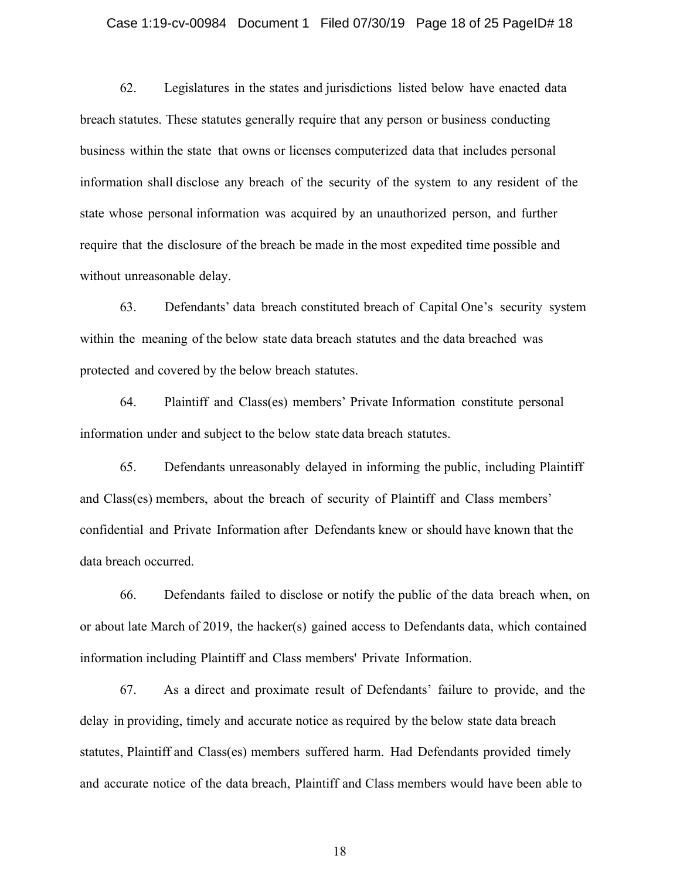#### Case 1:19-cv-00984 Document 1 Filed 07/30/19 Page 18 of 25 PageID# 18

62. Legislatures in the states and jurisdictions listed below have enacted data breach statutes. These statutes generally require that any person or business conducting business within the state that owns or licenses computerized data that includes personal information shall disclose any breach of the security of the system to any resident of the state whose personal information was acquired by an unauthorized person, and further require that the disclosure of the breach be made in the most expedited time possible and without unreasonable delay.

63. Defendants' data breach constituted breach of Capital One's security system within the meaning of the below state data breach statutes and the data breached was protected and covered by the below breach statutes.

64. Plaintiff and Class(es) members' Private Information constitute personal information under and subject to the below state data breach statutes.

65. Defendants unreasonably delayed in informing the public, including Plaintiff and Class(es) members, about the breach of security of Plaintiff and Class members' confidential and Private Information after Defendants knew or should have known that the data breach occurred.

66. Defendants failed to disclose or notify the public of the data breach when, on or about late March of 2019, the hacker(s) gained access to Defendants data, which contained information including Plaintiff and Class members' Private Information.

67. As a direct and proximate result of Defendants' failure to provide, and the delay in providing, timely and accurate notice as required by the below state data breach statutes, Plaintiff and Class(es) members suffered harm. Had Defendants provided timely and accurate notice of the data breach, Plaintiff and Class members would have been able to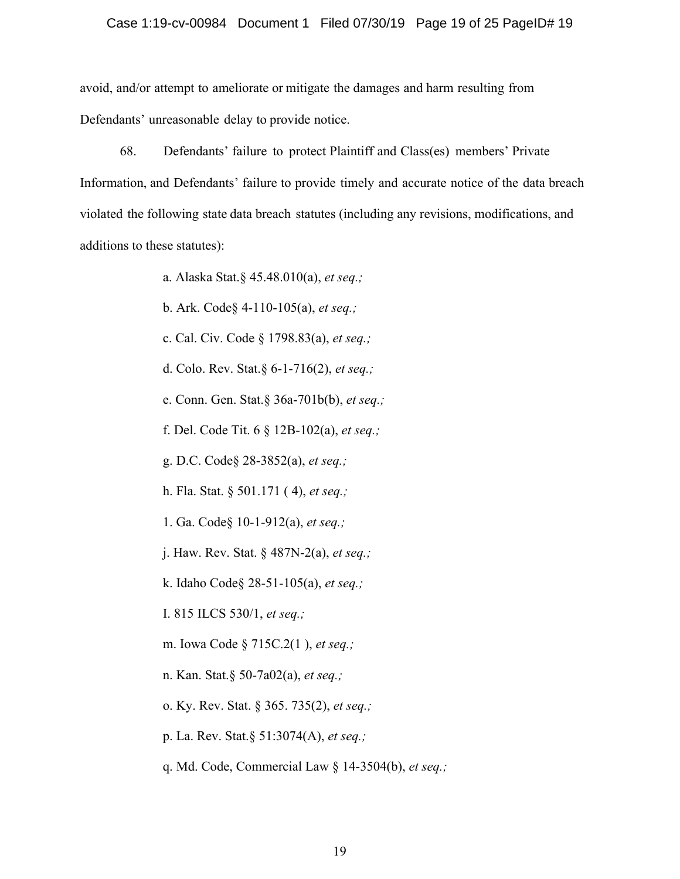#### Case 1:19-cv-00984 Document 1 Filed 07/30/19 Page 19 of 25 PageID# 19

avoid, and/or attempt to ameliorate or mitigate the damages and harm resulting from Defendants' unreasonable delay to provide notice.

68. Defendants' failure to protect Plaintiff and Class(es) members' Private Information, and Defendants' failure to provide timely and accurate notice of the data breach violated the following state data breach statutes (including any revisions, modifications, and additions to these statutes):

a. Alaska Stat.§ 45.48.010(a), *et seq.;*

b. Ark. Code§ 4-110-105(a), *et seq.;*

c. Cal. Civ. Code § 1798.83(a), *et seq.;*

d. Colo. Rev. Stat.§ 6-1-716(2), *et seq.;*

e. Conn. Gen. Stat.§ 36a-701b(b), *et seq.;*

f. Del. Code Tit. 6 § 12B-102(a), *et seq.;*

g. D.C. Code§ 28-3852(a), *et seq.;*

h. Fla. Stat. § 501.171 ( 4), *et seq.;*

1. Ga. Code§ 10-1-912(a), *et seq.;*

j. Haw. Rev. Stat. § 487N-2(a), *et seq.;*

k. Idaho Code§ 28-51-105(a), *et seq.;*

I. 815 ILCS 530/1, *et seq.;*

m. Iowa Code § 715C.2(1 ), *et seq.;*

n. Kan. Stat.§ 50-7a02(a), *et seq.;*

o. Ky. Rev. Stat. § 365. 735(2), *et seq.;*

p. La. Rev. Stat.§ 51:3074(A), *et seq.;*

q. Md. Code, Commercial Law § 14-3504(b), *et seq.;*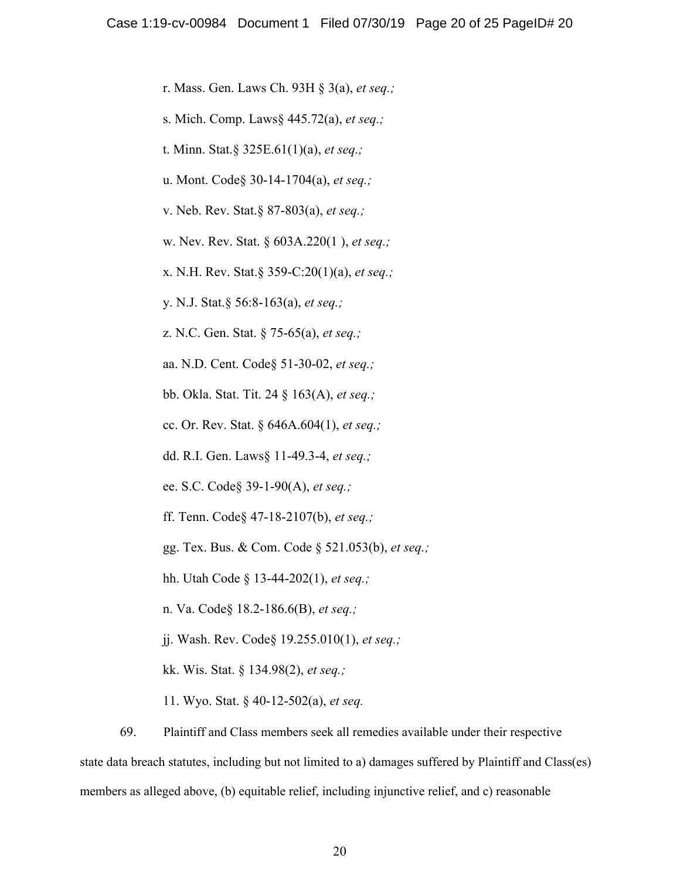r. Mass. Gen. Laws Ch. 93H § 3(a), *et seq.;*

s. Mich. Comp. Laws§ 445.72(a), *et seq.;*

t. Minn. Stat.§ 325E.61(1)(a), *et seq.;*

u. Mont. Code§ 30-14-1704(a), *et seq.;*

v. Neb. Rev. Stat.§ 87-803(a), *et seq.;*

w. Nev. Rev. Stat. § 603A.220(1 ), *et seq.;*

x. N.H. Rev. Stat.§ 359-C:20(1)(a), *et seq.;*

y. N.J. Stat.§ 56:8-163(a), *et seq.;*

z. N.C. Gen. Stat. § 75-65(a), *et seq.;*

aa. N.D. Cent. Code§ 51-30-02, *et seq.;*

bb. Okla. Stat. Tit. 24 § 163(A), *et seq.;*

cc. Or. Rev. Stat. § 646A.604(1), *et seq.;*

dd. R.I. Gen. Laws§ 11-49.3-4, *et seq.;*

ee. S.C. Code§ 39-1-90(A), *et seq.;*

ff. Tenn. Code§ 47-18-2107(b), *et seq.;*

gg. Tex. Bus. & Com. Code § 521.053(b), *et seq.;*

hh. Utah Code § 13-44-202(1), *et seq.;*

n. Va. Code§ 18.2-186.6(B), *et seq.;*

jj. Wash. Rev. Code§ 19.255.010(1), *et seq.;*

kk. Wis. Stat. § 134.98(2), *et seq.;*

11. Wyo. Stat. § 40-12-502(a), *et seq.*

69. Plaintiff and Class members seek all remedies available under their respective state data breach statutes, including but not limited to a) damages suffered by Plaintiff and Class(es) members as alleged above, (b) equitable relief, including injunctive relief, and c) reasonable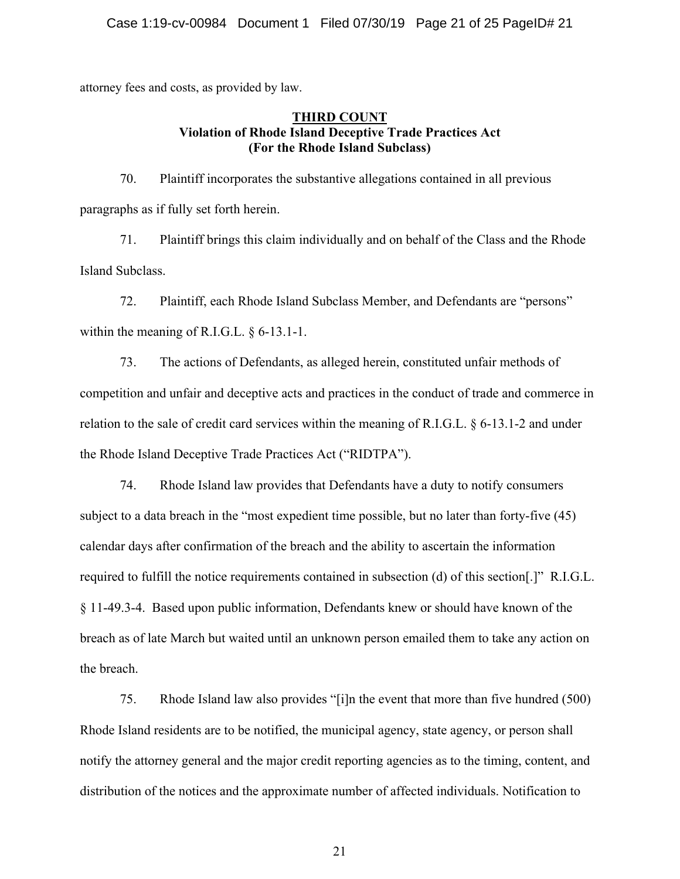attorney fees and costs, as provided by law.

# **THIRD COUNT Violation of Rhode Island Deceptive Trade Practices Act (For the Rhode Island Subclass)**

70. Plaintiff incorporates the substantive allegations contained in all previous paragraphs as if fully set forth herein.

71. Plaintiff brings this claim individually and on behalf of the Class and the Rhode Island Subclass.

72. Plaintiff, each Rhode Island Subclass Member, and Defendants are "persons" within the meaning of R.I.G.L. § 6-13.1-1.

73. The actions of Defendants, as alleged herein, constituted unfair methods of competition and unfair and deceptive acts and practices in the conduct of trade and commerce in relation to the sale of credit card services within the meaning of R.I.G.L. § 6-13.1-2 and under the Rhode Island Deceptive Trade Practices Act ("RIDTPA").

74. Rhode Island law provides that Defendants have a duty to notify consumers subject to a data breach in the "most expedient time possible, but no later than forty-five (45) calendar days after confirmation of the breach and the ability to ascertain the information required to fulfill the notice requirements contained in subsection (d) of this section[.]" R.I.G.L. § 11-49.3-4. Based upon public information, Defendants knew or should have known of the breach as of late March but waited until an unknown person emailed them to take any action on the breach.

75. Rhode Island law also provides "[i]n the event that more than five hundred (500) Rhode Island residents are to be notified, the municipal agency, state agency, or person shall notify the attorney general and the major credit reporting agencies as to the timing, content, and distribution of the notices and the approximate number of affected individuals. Notification to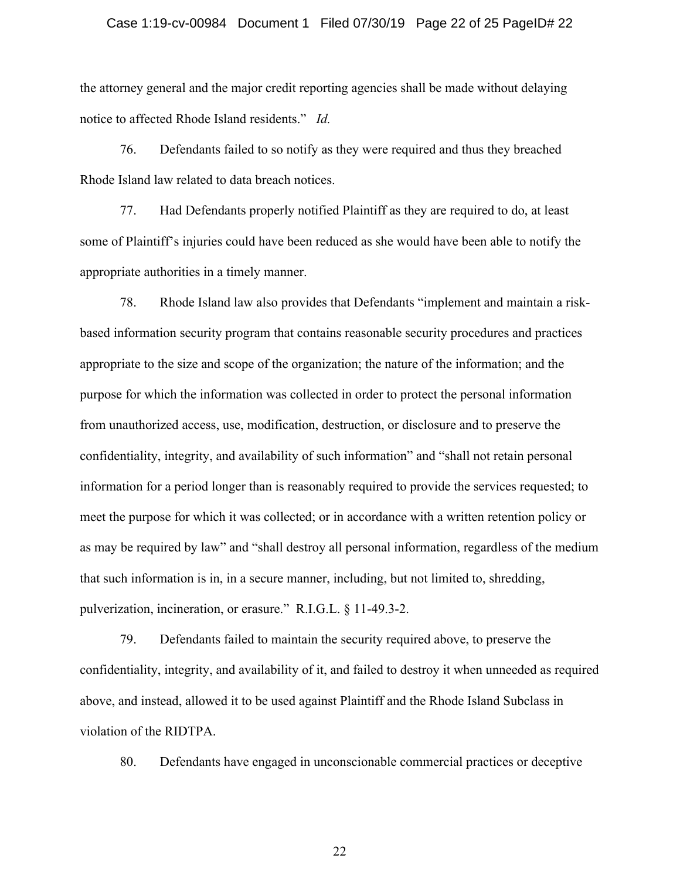#### Case 1:19-cv-00984 Document 1 Filed 07/30/19 Page 22 of 25 PageID# 22

the attorney general and the major credit reporting agencies shall be made without delaying notice to affected Rhode Island residents." *Id.*

76. Defendants failed to so notify as they were required and thus they breached Rhode Island law related to data breach notices.

77. Had Defendants properly notified Plaintiff as they are required to do, at least some of Plaintiff's injuries could have been reduced as she would have been able to notify the appropriate authorities in a timely manner.

78. Rhode Island law also provides that Defendants "implement and maintain a riskbased information security program that contains reasonable security procedures and practices appropriate to the size and scope of the organization; the nature of the information; and the purpose for which the information was collected in order to protect the personal information from unauthorized access, use, modification, destruction, or disclosure and to preserve the confidentiality, integrity, and availability of such information" and "shall not retain personal information for a period longer than is reasonably required to provide the services requested; to meet the purpose for which it was collected; or in accordance with a written retention policy or as may be required by law" and "shall destroy all personal information, regardless of the medium that such information is in, in a secure manner, including, but not limited to, shredding, pulverization, incineration, or erasure." R.I.G.L. § 11-49.3-2.

79. Defendants failed to maintain the security required above, to preserve the confidentiality, integrity, and availability of it, and failed to destroy it when unneeded as required above, and instead, allowed it to be used against Plaintiff and the Rhode Island Subclass in violation of the RIDTPA.

80. Defendants have engaged in unconscionable commercial practices or deceptive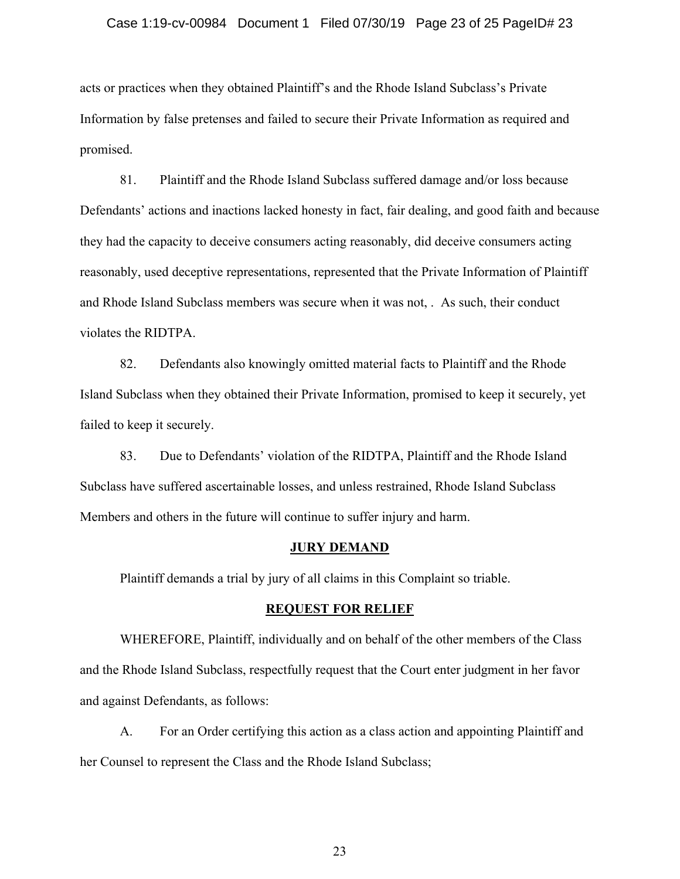#### Case 1:19-cv-00984 Document 1 Filed 07/30/19 Page 23 of 25 PageID# 23

acts or practices when they obtained Plaintiff's and the Rhode Island Subclass's Private Information by false pretenses and failed to secure their Private Information as required and promised.

81. Plaintiff and the Rhode Island Subclass suffered damage and/or loss because Defendants' actions and inactions lacked honesty in fact, fair dealing, and good faith and because they had the capacity to deceive consumers acting reasonably, did deceive consumers acting reasonably, used deceptive representations, represented that the Private Information of Plaintiff and Rhode Island Subclass members was secure when it was not, . As such, their conduct violates the RIDTPA.

82. Defendants also knowingly omitted material facts to Plaintiff and the Rhode Island Subclass when they obtained their Private Information, promised to keep it securely, yet failed to keep it securely.

83. Due to Defendants' violation of the RIDTPA, Plaintiff and the Rhode Island Subclass have suffered ascertainable losses, and unless restrained, Rhode Island Subclass Members and others in the future will continue to suffer injury and harm.

#### **JURY DEMAND**

Plaintiff demands a trial by jury of all claims in this Complaint so triable.

#### **REQUEST FOR RELIEF**

WHEREFORE, Plaintiff, individually and on behalf of the other members of the Class and the Rhode Island Subclass, respectfully request that the Court enter judgment in her favor and against Defendants, as follows:

A. For an Order certifying this action as a class action and appointing Plaintiff and her Counsel to represent the Class and the Rhode Island Subclass;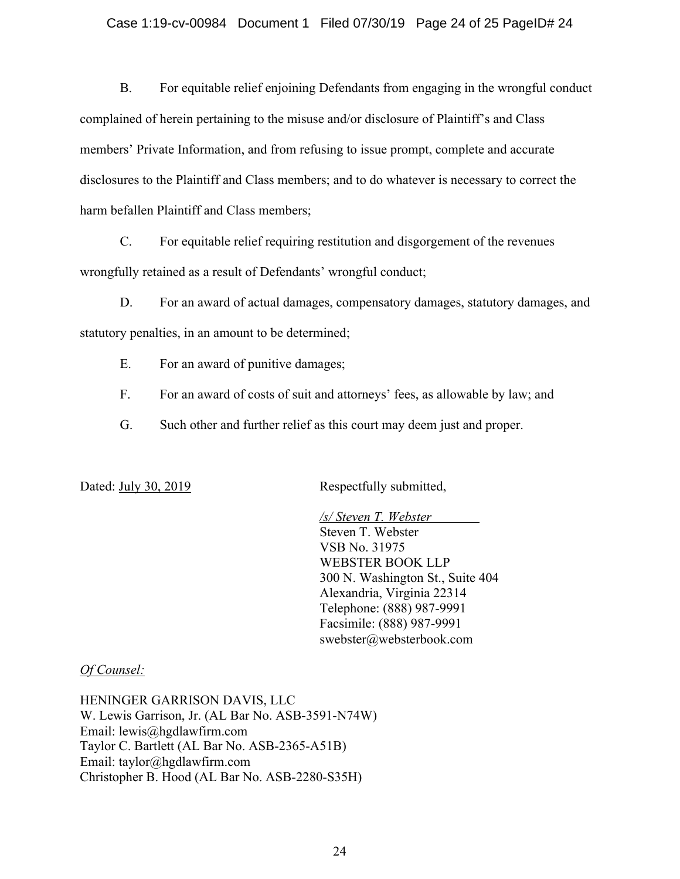#### Case 1:19-cv-00984 Document 1 Filed 07/30/19 Page 24 of 25 PageID# 24

B. For equitable relief enjoining Defendants from engaging in the wrongful conduct complained of herein pertaining to the misuse and/or disclosure of Plaintiff's and Class members' Private Information, and from refusing to issue prompt, complete and accurate disclosures to the Plaintiff and Class members; and to do whatever is necessary to correct the harm befallen Plaintiff and Class members;

C. For equitable relief requiring restitution and disgorgement of the revenues wrongfully retained as a result of Defendants' wrongful conduct;

D. For an award of actual damages, compensatory damages, statutory damages, and statutory penalties, in an amount to be determined;

- E. For an award of punitive damages;
- F. For an award of costs of suit and attorneys' fees, as allowable by law; and
- G. Such other and further relief as this court may deem just and proper.

Dated: July 30, 2019 Respectfully submitted,

*/s/ Steven T. Webster* Steven T. Webster VSB No. 31975 WEBSTER BOOK LLP 300 N. Washington St., Suite 404 Alexandria, Virginia 22314 Telephone: (888) 987-9991 Facsimile: (888) 987-9991 swebster@websterbook.com

### *Of Counsel:*

HENINGER GARRISON DAVIS, LLC W. Lewis Garrison, Jr. (AL Bar No. ASB-3591-N74W) Email: lewis@hgdlawfirm.com Taylor C. Bartlett (AL Bar No. ASB-2365-A51B) Email: taylor@hgdlawfirm.com Christopher B. Hood (AL Bar No. ASB-2280-S35H)